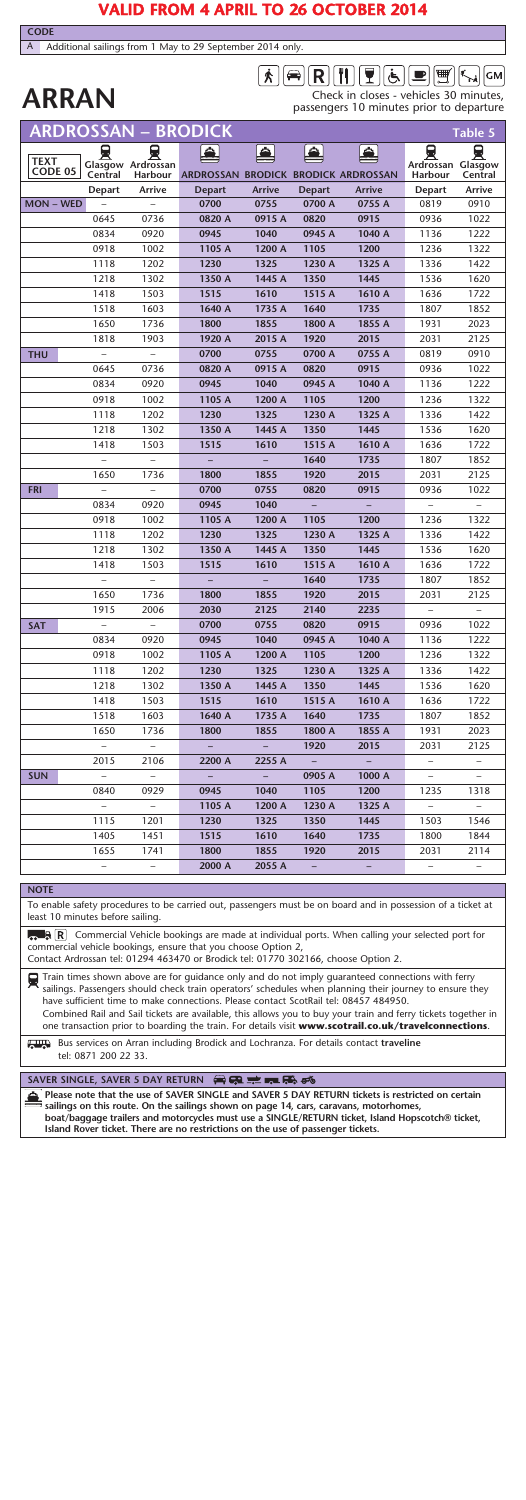# **VALID FROM 4 APRIL TO 26 OCTOBER 2014**

A Additional sailings from 1 May to 29 September 2014 only.

**CODE**

# $\boxed{\mathbf{A}} \boxed{\mathbf{A}} \boxed{\mathbf{R}} \boxed{\mathbf{I}} \boxed{\mathbf{I}} \boxed{\mathbf{I}} \boxed{\mathbf{A}} \boxed{\mathbf{E}} \boxed{\mathbf{m}} \boxed{\mathbf{m}}$

**ARRAN** Check in closes - vehicles 30 minutes,<br>
passengers 10 minutes prior to departure

|                                                                                                                                                                  | ARDROSSAN                                                                                                                                                                              |                      | <b>BRODICK</b>                      |          |               |        |                      | Table 5            |
|------------------------------------------------------------------------------------------------------------------------------------------------------------------|----------------------------------------------------------------------------------------------------------------------------------------------------------------------------------------|----------------------|-------------------------------------|----------|---------------|--------|----------------------|--------------------|
|                                                                                                                                                                  | 員                                                                                                                                                                                      | ⊌                    | Ω.                                  | £.       | £.            | ė.     | 員                    | 늦                  |
| <b>TEXT</b><br>CODE 05                                                                                                                                           | Glasgow<br>Central                                                                                                                                                                     | Ardrossan<br>Harbour | ARDROSSAN BRODICK BRODICK ARDROSSAN |          |               |        | Ardrossan<br>Harbour | Glasgow<br>Central |
|                                                                                                                                                                  | Depart                                                                                                                                                                                 | Arrive               | <b>Depart</b>                       | Arrive   | <b>Depart</b> | Arrive | Depart               | Arrive             |
| $MON - WED$                                                                                                                                                      |                                                                                                                                                                                        |                      | 0700                                | 0755     | 0700 A        | 0755 A | 0819                 | 0910               |
|                                                                                                                                                                  | 0645                                                                                                                                                                                   | 0736                 | 0820 A                              | 0915 A   | 0820          | 0915   | 0936                 | 1022               |
|                                                                                                                                                                  | 0834                                                                                                                                                                                   | 0920                 | 0945                                | 1040     | 0945 A        | 1040 A | 1136                 | 1222               |
|                                                                                                                                                                  | 0918                                                                                                                                                                                   | 1002                 | 1105 A                              | 1200 A   | 1105          | 1200   | 1236                 | 1322               |
|                                                                                                                                                                  | 1118                                                                                                                                                                                   | 1202                 | 1230                                | 1325     | 1230 A        | 1325 A | 1336                 | 1422               |
|                                                                                                                                                                  | 1218                                                                                                                                                                                   | 1302                 | 1350 A                              | 1445 A   | 1350          | 1445   | 1536                 | 1620               |
|                                                                                                                                                                  | 1418                                                                                                                                                                                   | 1503                 | 1515                                | 1610     | 1515 A        | 1610 A | 1636                 | 1722               |
|                                                                                                                                                                  | 1518                                                                                                                                                                                   | 1603                 | 1640 A                              | 1735 A   | 1640          | 1735   | 1807                 | 1852               |
|                                                                                                                                                                  | 1650                                                                                                                                                                                   | 1736                 | 1800                                | 1855     | 1800 A        | 1855 A | 1931                 | 2023               |
|                                                                                                                                                                  | 1818                                                                                                                                                                                   | 1903                 | 1920 A                              | 2015 A   | 1920          | 2015   | 2031                 | 2125               |
| <b>THU</b>                                                                                                                                                       |                                                                                                                                                                                        |                      | 0700                                | 0755     | 0700 A        | 0755 A | 0819                 | 0910               |
|                                                                                                                                                                  | 0645                                                                                                                                                                                   | 0736                 | 0820 A                              | 0915 A   | 0820          | 0915   | 0936                 | 1022               |
|                                                                                                                                                                  | 0834                                                                                                                                                                                   | 0920                 | 0945                                | 1040     | 0945 A        | 1040 A | 1136                 | 1222               |
|                                                                                                                                                                  |                                                                                                                                                                                        |                      |                                     |          |               |        |                      |                    |
|                                                                                                                                                                  | 0918                                                                                                                                                                                   | 1002                 | 1105 A                              | 1200 A   | 1105          | 1200   | 1236                 | 1322               |
|                                                                                                                                                                  | 1118                                                                                                                                                                                   | 1202                 | 1230                                | 1325     | 1230 A        | 1325 A | 1336                 | 1422               |
|                                                                                                                                                                  | 1218                                                                                                                                                                                   | 1302                 | 1350 A                              | 1445 A   | 1350          | 1445   | 1536                 | 1620               |
|                                                                                                                                                                  | 1418                                                                                                                                                                                   | 1503                 | 1515                                | 1610     | 1515 A        | 1610 A | 1636                 | 1722               |
|                                                                                                                                                                  | ÷,                                                                                                                                                                                     | ÷                    | $=$                                 | -        | 1640          | 1735   | 1807                 | 1852               |
|                                                                                                                                                                  | 1650                                                                                                                                                                                   | 1736                 | 1800                                | 1855     | 1920          | 2015   | 2031                 | 2125               |
| <b>FRI</b>                                                                                                                                                       | $\equiv$                                                                                                                                                                               | $\overline{a}$       | 0700                                | 0755     | 0820          | 0915   | 0936                 | 1022               |
|                                                                                                                                                                  | 0834                                                                                                                                                                                   | 0920                 | 0945                                | 1040     |               |        | $\equiv$             | $\qquad \qquad -$  |
|                                                                                                                                                                  | 0918                                                                                                                                                                                   | 1002                 | 1105 A                              | 1200 A   | 1105          | 1200   | 1236                 | 1322               |
|                                                                                                                                                                  | 1118                                                                                                                                                                                   | 1202                 | 1230                                | 1325     | 1230 A        | 1325 A | 1336                 | 1422               |
|                                                                                                                                                                  | 1218                                                                                                                                                                                   | 1302                 | 1350 A                              | 1445 A   | 1350          | 1445   | 1536                 | 1620               |
|                                                                                                                                                                  | 1418                                                                                                                                                                                   | 1503                 | 1515                                | 1610     | 1515 A        | 1610 A | 1636                 | 1722               |
|                                                                                                                                                                  | ÷,                                                                                                                                                                                     | ÷                    | $\overline{\phantom{a}}$            | $\equiv$ | 1640          | 1735   | 1807                 | 1852               |
|                                                                                                                                                                  | 1650                                                                                                                                                                                   | 1736                 | 1800                                | 1855     | 1920          | 2015   | 2031                 | 2125               |
|                                                                                                                                                                  | 1915                                                                                                                                                                                   | 2006                 | 2030                                | 2125     | 2140          | 2235   | $\overline{a}$       | $\overline{a}$     |
| <b>SAT</b>                                                                                                                                                       | $\overline{a}$                                                                                                                                                                         | $\overline{a}$       | 0700                                | 0755     | 0820          | 0915   | 0936                 | 1022               |
|                                                                                                                                                                  | 0834                                                                                                                                                                                   | 0920                 | 0945                                | 1040     | 0945 A        | 1040 A | 1136                 | 1222               |
|                                                                                                                                                                  | 0918                                                                                                                                                                                   | 1002                 | 1105 A                              | 1200 A   | 1105          | 1200   | 1236                 | 1322               |
|                                                                                                                                                                  | 1118                                                                                                                                                                                   | 1202                 | 1230                                | 1325     | 1230 A        | 1325 A | 1336                 | 1422               |
|                                                                                                                                                                  | 1218                                                                                                                                                                                   | 1302                 | 1350 A                              | 1445 A   | 1350          | 1445   | 1536                 | 1620               |
|                                                                                                                                                                  | 1418                                                                                                                                                                                   | 1503                 | 1515                                | 1610     | 1515 A        | 1610 A | 1636                 | 1722               |
|                                                                                                                                                                  | 1518                                                                                                                                                                                   | 1603                 | 1640 A                              | 1735 A   | 1640          | 1735   | 1807                 | 1852               |
|                                                                                                                                                                  | 1650                                                                                                                                                                                   | 1736                 | 1800                                | 1855     | 1800 A        | 1855 A | 1931                 | 2023               |
|                                                                                                                                                                  |                                                                                                                                                                                        |                      |                                     |          | 1920          | 2015   | 2031                 | 2125               |
|                                                                                                                                                                  | 2015                                                                                                                                                                                   | 2106                 | 2200 A                              | 2255 A   |               |        |                      |                    |
| <b>SUN</b>                                                                                                                                                       | $\overline{a}$                                                                                                                                                                         | $\overline{a}$       | $\overline{a}$                      | $\equiv$ | 0905 A        | 1000 A | $\overline{a}$       | $\overline{a}$     |
|                                                                                                                                                                  | 0840                                                                                                                                                                                   | 0929                 | 0945                                | 1040     | 1105          | 1200   | 1235                 | 1318               |
|                                                                                                                                                                  | $\overline{a}$                                                                                                                                                                         | $\overline{a}$       | 1105 A                              | 1200 A   | 1230 A        | 1325 A | $\overline{a}$       | $\equiv$           |
|                                                                                                                                                                  | 1115                                                                                                                                                                                   | 1201                 | 1230                                | 1325     | 1350          | 1445   | 1503                 | 1546               |
|                                                                                                                                                                  | 1405                                                                                                                                                                                   | 1451                 | 1515                                | 1610     | 1640          | 1735   | 1800                 | 1844               |
|                                                                                                                                                                  | 1655                                                                                                                                                                                   | 1741                 | 1800                                | 1855     | 1920          | 2015   | 2031                 | 2114               |
|                                                                                                                                                                  |                                                                                                                                                                                        |                      | 2000 A                              | 2055 A   |               |        |                      |                    |
|                                                                                                                                                                  |                                                                                                                                                                                        |                      |                                     |          |               |        |                      |                    |
| <b>NOTE</b>                                                                                                                                                      |                                                                                                                                                                                        |                      |                                     |          |               |        |                      |                    |
| To enable safety procedures to be carried out, passengers must be on board and in possession of a ticket at<br>least 10 minutes before sailing.                  |                                                                                                                                                                                        |                      |                                     |          |               |        |                      |                    |
| R Commercial Vehicle bookings are made at individual ports. When calling your selected port for<br>commercial vehicle bookings, ensure that you choose Option 2, |                                                                                                                                                                                        |                      |                                     |          |               |        |                      |                    |
| 0                                                                                                                                                                | Contact Ardrossan tel: 01294 463470 or Brodick tel: 01770 302166, choose Option 2.<br>Train times shown above are for guidance only and do not imply guaranteed connections with ferry |                      |                                     |          |               |        |                      |                    |
|                                                                                                                                                                  |                                                                                                                                                                                        |                      |                                     |          |               |        |                      |                    |

sailings. Passengers should check train operators' schedules when planning their journey to ensure they have sufficient time to make connections. Please contact ScotRail tel: 08457 484950. Combined Rail and Sail tickets are available, this allows you to buy your train and ferry tickets together in

one transaction prior to boarding the train. For details visit **www.scotrail.co.uk/travelconnections**.

Bus services on Arran including Brodick and Lochranza. For details contact **traveline** tel: 0871 200 22 33.

### **SAVER SINGLE, SAVER 5 DAY RETURN**

**Please note that the use of SAVER SINGLE and SAVER 5 DAY RETURN tickets is restricted on certain** sailings on this route. On the sailings shown on page 14, cars, caravans, motorhomes,<br>boat/baggage trailers and motorcycles must use a SINGLE/RETURN ticket, Island Hopscotch® ticket, **Island Rover ticket. There are no restrictions on the use of passenger tickets.**